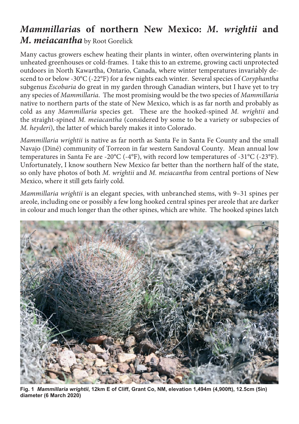## *Mammillaria***s of northern New Mexico:** *M. wrightii* **and**  *M. meiacantha* by Root Gorelick

Many cactus growers eschew heating their plants in winter, often overwintering plants in unheated greenhouses or cold-frames. I take this to an extreme, growing cacti unprotected outdoors in North Kawartha, Ontario, Canada, where winter temperatures invariably descend to or below -30°C (-22°F) for a few nights each winter. Several species of *Coryphantha* subgenus *Escobaria* do great in my garden through Canadian winters, but I have yet to try any species of *Mammillaria*. The most promising would be the two species of *Mammillaria* native to northern parts of the state of New Mexico, which is as far north and probably as cold as any *Mammillaria* species get. These are the hooked-spined *M. wrightii* and the straight-spined *M. meiacantha* (considered by some to be a variety or subspecies of *M. heyderi*), the latter of which barely makes it into Colorado.

*Mammillaria wrightii* is native as far north as Santa Fe in Santa Fe County and the small Navajo (Diné) community of Torreon in far western Sandoval County. Mean annual low temperatures in Santa Fe are -20°C (-4°F), with record low temperatures of -31°C (-23°F). Unfortunately, I know southern New Mexico far better than the northern half of the state, so only have photos of both *M. wrightii* and *M. meiacantha* from central portions of New Mexico, where it still gets fairly cold.

*Mammillaria wrightii* is an elegant species, with unbranched stems, with 9–31 spines per areole, including one or possibly a few long hooked central spines per areole that are darker in colour and much longer than the other spines, which are white. The hooked spines latch



**Fig. 1** *Mammillaria wrightii***, 12km E of Cliff, Grant Co, NM, elevation 1,494m (4,900ft), 12.5cm (5in) diameter (6 March 2020)**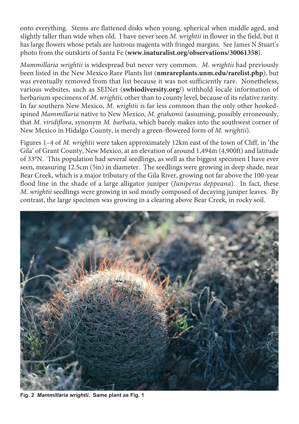onto everything. Stems are flattened disks when young, spherical when middle aged, and slightly taller than wide when old. I have never seen *M. wrightii* in flower in the field, but it has large flowers whose petals are lustrous magenta with fringed margins. See James N Stuart's photo from the outskirts of Santa Fe (**www.inaturalist.org/observations/30061358**).

*Mammillaria wrightii* is widespread but never very common. *M. wrightii* had previously been listed in the New Mexico Rare Plants list (**nmrareplants.unm.edu/rarelist.php**), but was eventually removed from that list because it was not sufficiently rare. Nonetheless, various websites, such as SEINet (**swbiodiversity.org/**) withhold locale information of herbarium specimens of *M. wrightii,* other than to county level, because of its relative rarity. In far southern New Mexico, *M. wrightii* is far less common than the only other hookedspined *Mammillaria* native to New Mexico, *M. grahamii* (assuming, possibly erroneously, that *M. viridiflora*, synonym *M. barbata*, which barely makes into the southwest corner of New Mexico in Hidalgo County, is merely a green-flowered form of *M. wrightii*).

Figures 1–4 of *M. wrightii* were taken approximately 12km east of the town of Cliff, in 'the Gila' of Grant County, New Mexico, at an elevation of around 1,494m (4,900ft) and latitude of 33°N. This population had several seedlings, as well as the biggest specimen I have ever seen, measuring 12.5cm (5in) in diameter. The seedlings were growing in deep shade, near Bear Creek, which is a major tributary of the Gila River, growing not far above the 100-year flood line in the shade of a large alligator juniper (*Juniperus deppeana*). In fact, these *M. wrightii* seedlings were growing in soil mostly composed of decaying juniper leaves. By contrast, the large specimen was growing in a clearing above Bear Creek, in rocky soil.



**Fig. 2** *Mammillaria wrightii***. Same plant as Fig. 1**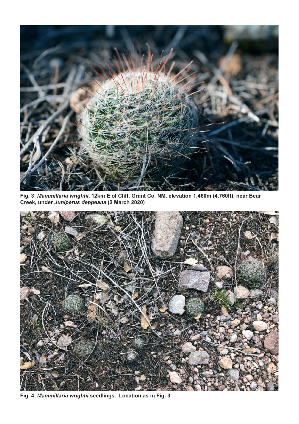

**Fig. 3** *Mammillaria wrightii***, 12km E of Cliff, Grant Co, NM, elevation 1,460m (4,760ft), near Bear Creek, under** *Juniperus deppeana* **(2 March 2020)**



**Fig. 4** *Mammillaria wrightii* **seedlings. Location as in Fig. 3**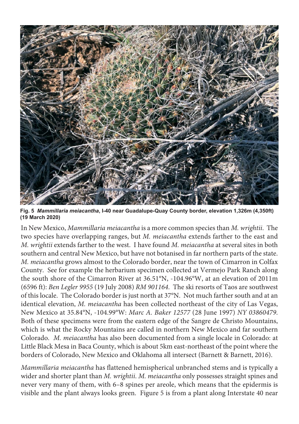

**Fig. 5** *Mammillaria meiacantha***, I-40 near Guadalupe-Quay County border, elevation 1,326m (4,350ft) (19 March 2020)**

In New Mexico, *Mammillaria meiacantha* is a more common species than *M. wrightii*. The two species have overlapping ranges, but *M. meiacantha* extends farther to the east and *M. wrightii* extends farther to the west. I have found *M. meiacantha* at several sites in both southern and central New Mexico, but have not botanised in far northern parts of the state. *M. meiacantha* grows almost to the Colorado border, near the town of Cimarron in Colfax County. See for example the herbarium specimen collected at Vermejo Park Ranch along the south shore of the Cimarron River at 36.51°N, -104.96°W, at an elevation of 2011m (6596 ft): *Ben Legler 9955* (19 July 2008) *RM 901164*. The ski resorts of Taos are southwest of this locale. The Colorado border is just north at 37°N. Not much farther south and at an identical elevation, *M. meiacantha* has been collected northeast of the city of Las Vegas, New Mexico at 35.84°N, -104.99°W: *Marc A. Baker 12577* (28 June 1997) *NY 03860479*. Both of these specimens were from the eastern edge of the Sangre de Christo Mountains, which is what the Rocky Mountains are called in northern New Mexico and far southern Colorado. *M. meiacantha* has also been documented from a single locale in Colorado: at Little Black Mesa in Baca County, which is about 5km east-northeast of the point where the borders of Colorado, New Mexico and Oklahoma all intersect (Barnett & Barnett, 2016).

*Mammillaria meiacantha* has flattened hemispherical unbranched stems and is typically a wider and shorter plant than *M. wrightii*. *M. meiacantha* only possesses straight spines and never very many of them, with 6–8 spines per areole, which means that the epidermis is visible and the plant always looks green. Figure 5 is from a plant along Interstate 40 near